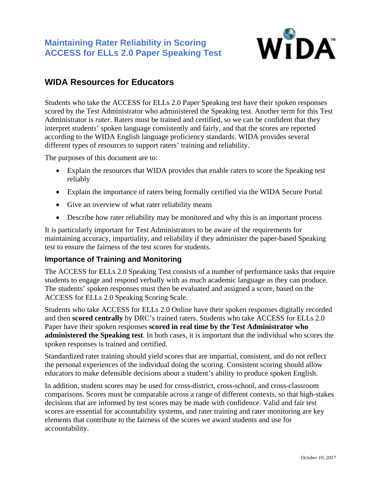

# **WIDA Resources for Educators**

Students who take the ACCESS for ELLs 2.0 Paper Speaking test have their spoken responses scored by the Test Administrator who administered the Speaking test. Another term for this Test Administrator is *rater*. Raters must be trained and certified, so we can be confident that they interpret students' spoken language consistently and fairly, and that the scores are reported according to the WIDA English language proficiency standards. WIDA provides several different types of resources to support raters' training and reliability.

The purposes of this document are to:

- Explain the resources that WIDA provides that enable raters to score the Speaking test reliably
- Explain the importance of raters being formally certified via the WIDA Secure Portal
- Give an overview of what rater reliability means
- Describe how rater reliability may be monitored and why this is an important process

It is particularly important for Test Administrators to be aware of the requirements for maintaining accuracy, impartiality, and reliability if they administer the paper-based Speaking test to ensure the fairness of the test scores for students.

#### **Importance of Training and Monitoring**

The ACCESS for ELLs 2.0 Speaking Test consists of a number of performance tasks that require students to engage and respond verbally with as much academic language as they can produce. The students' spoken responses must then be evaluated and assigned a score, based on the ACCESS for ELLs 2.0 Speaking Scoring Scale.

Students who take ACCESS for ELLs 2.0 Online have their spoken responses digitally recorded and then **scored centrally** by DRC's trained raters. Students who take ACCESS for ELLs 2.0 Paper have their spoken responses **scored in real time by the Test Administrator who administered the Speaking test**. In both cases, it is important that the individual who scores the spoken responses is trained and certified.

Standardized rater training should yield scores that are impartial, consistent, and do not reflect the personal experiences of the individual doing the scoring. Consistent scoring should allow educators to make defensible decisions about a student's ability to produce spoken English.

In addition, student scores may be used for cross-district, cross-school, and cross-classroom comparisons. Scores must be comparable across a range of different contexts, so that high-stakes decisions that are informed by test scores may be made with confidence. Valid and fair test scores are essential for accountability systems, and rater training and rater monitoring are key elements that contribute to the fairness of the scores we award students and use for accountability.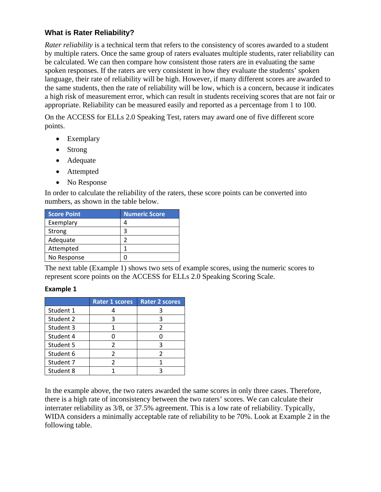## **What is Rater Reliability?**

*Rater reliability* is a technical term that refers to the consistency of scores awarded to a student by multiple raters. Once the same group of raters evaluates multiple students, rater reliability can be calculated. We can then compare how consistent those raters are in evaluating the same spoken responses. If the raters are very consistent in how they evaluate the students' spoken language, their rate of reliability will be high. However, if many different scores are awarded to the same students, then the rate of reliability will be low, which is a concern, because it indicates a high risk of measurement error, which can result in students receiving scores that are not fair or appropriate. Reliability can be measured easily and reported as a percentage from 1 to 100.

On the ACCESS for ELLs 2.0 Speaking Test, raters may award one of five different score points.

- Exemplary
- Strong
- Adequate
- Attempted
- No Response

In order to calculate the reliability of the raters, these score points can be converted into numbers, as shown in the table below.

| <b>Score Point</b> | <b>Numeric Score</b> |
|--------------------|----------------------|
| Exemplary          |                      |
| Strong             | 3                    |
| Adequate           |                      |
| Attempted          |                      |
| No Response        |                      |

The next table (Example 1) shows two sets of example scores, using the numeric scores to represent score points on the ACCESS for ELLs 2.0 Speaking Scoring Scale.

#### **Example 1**

|           | <b>Rater 1 scores</b> | <b>Rater 2 scores</b> |
|-----------|-----------------------|-----------------------|
| Student 1 |                       |                       |
| Student 2 |                       | っ                     |
| Student 3 |                       | 2                     |
| Student 4 |                       |                       |
| Student 5 | 2                     | ર                     |
| Student 6 |                       |                       |
| Student 7 |                       |                       |
| Student 8 |                       |                       |

In the example above, the two raters awarded the same scores in only three cases. Therefore, there is a high rate of inconsistency between the two raters' scores. We can calculate their interrater reliability as 3/8, or 37.5% agreement. This is a low rate of reliability. Typically, WIDA considers a minimally acceptable rate of reliability to be 70%. Look at Example 2 in the following table.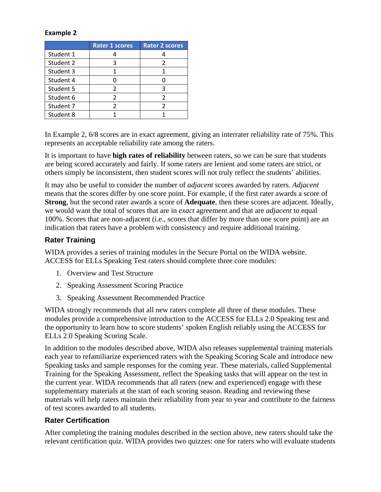#### **Example 2**

|           | <b>Rater 1 scores</b> | <b>Rater 2 scores</b> |
|-----------|-----------------------|-----------------------|
| Student 1 |                       |                       |
| Student 2 |                       |                       |
| Student 3 |                       |                       |
| Student 4 |                       |                       |
| Student 5 |                       | 3                     |
| Student 6 |                       | $\mathfrak{p}$        |
| Student 7 |                       |                       |
| Student 8 |                       |                       |

In Example 2, 6/8 scores are in exact agreement, giving an interrater reliability rate of 75%. This represents an acceptable reliability rate among the raters.

It is important to have **high rates of reliability** between raters, so we can be sure that students are being scored accurately and fairly. If some raters are lenient and some raters are strict, or others simply be inconsistent, then student scores will not truly reflect the students' abilities.

It may also be useful to consider the number of *adjacent* scores awarded by raters. *Adjacent* means that the scores differ by one score point. For example, if the first rater awards a score of **Strong**, but the second rater awards a score of **Adequate**, then these scores are adjacent. Ideally, we would want the total of scores that are in *exact* agreement and that are *adjacent* to equal 100%. Scores that are non-adjacent (i.e., scores that differ by more than one score point) are an indication that raters have a problem with consistency and require additional training.

### **Rater Training**

WIDA provides a series of training modules in the Secure Portal on the WIDA website. ACCESS for ELLs Speaking Test raters should complete three core modules:

- 1. Overview and Test Structure
- 2. Speaking Assessment Scoring Practice
- 3. Speaking Assessment Recommended Practice

WIDA strongly recommends that all new raters complete all three of these modules. These modules provide a comprehensive introduction to the ACCESS for ELLs 2.0 Speaking test and the opportunity to learn how to score students' spoken English reliably using the ACCESS for ELLs 2.0 Speaking Scoring Scale.

In addition to the modules described above, WIDA also releases supplemental training materials each year to refamiliarize experienced raters with the Speaking Scoring Scale and introduce new Speaking tasks and sample responses for the coming year. These materials, called Supplemental Training for the Speaking Assessment, reflect the Speaking tasks that will appear on the test in the current year. WIDA recommends that all raters (new and experienced) engage with these supplementary materials at the start of each scoring season. Reading and reviewing these materials will help raters maintain their reliability from year to year and contribute to the fairness of test scores awarded to all students.

#### **Rater Certification**

After completing the training modules described in the section above, new raters should take the relevant certification quiz. WIDA provides two quizzes: one for raters who will evaluate students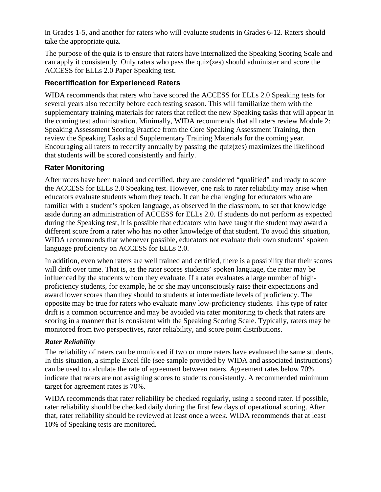in Grades 1-5, and another for raters who will evaluate students in Grades 6-12. Raters should take the appropriate quiz.

The purpose of the quiz is to ensure that raters have internalized the Speaking Scoring Scale and can apply it consistently. Only raters who pass the quiz(zes) should administer and score the ACCESS for ELLs 2.0 Paper Speaking test.

## **Recertification for Experienced Raters**

WIDA recommends that raters who have scored the ACCESS for ELLs 2.0 Speaking tests for several years also recertify before each testing season. This will familiarize them with the supplementary training materials for raters that reflect the new Speaking tasks that will appear in the coming test administration. Minimally, WIDA recommends that all raters review Module 2: Speaking Assessment Scoring Practice from the Core Speaking Assessment Training, then review the Speaking Tasks and Supplementary Training Materials for the coming year. Encouraging all raters to recertify annually by passing the quiz(zes) maximizes the likelihood that students will be scored consistently and fairly.

## **Rater Monitoring**

After raters have been trained and certified, they are considered "qualified" and ready to score the ACCESS for ELLs 2.0 Speaking test. However, one risk to rater reliability may arise when educators evaluate students whom they teach. It can be challenging for educators who are familiar with a student's spoken language, as observed in the classroom, to set that knowledge aside during an administration of ACCESS for ELLs 2.0. If students do not perform as expected during the Speaking test, it is possible that educators who have taught the student may award a different score from a rater who has no other knowledge of that student. To avoid this situation, WIDA recommends that whenever possible, educators not evaluate their own students' spoken language proficiency on ACCESS for ELLs 2.0.

In addition, even when raters are well trained and certified, there is a possibility that their scores will drift over time. That is, as the rater scores students' spoken language, the rater may be influenced by the students whom they evaluate. If a rater evaluates a large number of highproficiency students, for example, he or she may unconsciously raise their expectations and award lower scores than they should to students at intermediate levels of proficiency. The opposite may be true for raters who evaluate many low-proficiency students. This type of rater drift is a common occurrence and may be avoided via rater monitoring to check that raters are scoring in a manner that is consistent with the Speaking Scoring Scale. Typically, raters may be monitored from two perspectives, rater reliability, and score point distributions.

#### *Rater Reliability*

The reliability of raters can be monitored if two or more raters have evaluated the same students. In this situation, a simple Excel file (see sample provided by WIDA and associated instructions) can be used to calculate the rate of agreement between raters. Agreement rates below 70% indicate that raters are not assigning scores to students consistently. A recommended minimum target for agreement rates is 70%.

WIDA recommends that rater reliability be checked regularly, using a second rater. If possible, rater reliability should be checked daily during the first few days of operational scoring. After that, rater reliability should be reviewed at least once a week. WIDA recommends that at least 10% of Speaking tests are monitored.